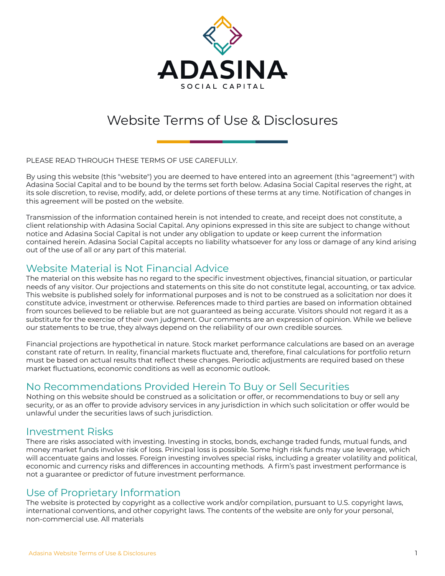

# Website Terms of Use & Disclosures

PLEASE READ THROUGH THESE TERMS OF USE CAREFULLY.

By using this website (this "website") you are deemed to have entered into an agreement (this "agreement") with Adasina Social Capital and to be bound by the terms set forth below. Adasina Social Capital reserves the right, at its sole discretion, to revise, modify, add, or delete portions of these terms at any time. Notification of changes in this agreement will be posted on the website.

Transmission of the information contained herein is not intended to create, and receipt does not constitute, a client relationship with Adasina Social Capital. Any opinions expressed in this site are subject to change without notice and Adasina Social Capital is not under any obligation to update or keep current the information contained herein. Adasina Social Capital accepts no liability whatsoever for any loss or damage of any kind arising out of the use of all or any part of this material.

## Website Material is Not Financial Advice

The material on this website has no regard to the specific investment objectives, financial situation, or particular needs of any visitor. Our projections and statements on this site do not constitute legal, accounting, or tax advice. This website is published solely for informational purposes and is not to be construed as a solicitation nor does it constitute advice, investment or otherwise. References made to third parties are based on information obtained from sources believed to be reliable but are not guaranteed as being accurate. Visitors should not regard it as a substitute for the exercise of their own judgment. Our comments are an expression of opinion. While we believe our statements to be true, they always depend on the reliability of our own credible sources.

Financial projections are hypothetical in nature. Stock market performance calculations are based on an average constant rate of return. In reality, financial markets fluctuate and, therefore, final calculations for portfolio return must be based on actual results that reflect these changes. Periodic adjustments are required based on these market fluctuations, economic conditions as well as economic outlook.

## No Recommendations Provided Herein To Buy or Sell Securities

Nothing on this website should be construed as a solicitation or offer, or recommendations to buy or sell any security, or as an offer to provide advisory services in any jurisdiction in which such solicitation or offer would be unlawful under the securities laws of such jurisdiction.

#### Investment Risks

There are risks associated with investing. Investing in stocks, bonds, exchange traded funds, mutual funds, and money market funds involve risk of loss. Principal loss is possible. Some high risk funds may use leverage, which will accentuate gains and losses. Foreign investing involves special risks, including a greater volatility and political, economic and currency risks and differences in accounting methods. A firm's past investment performance is not a guarantee or predictor of future investment performance.

## Use of Proprietary Information

The website is protected by copyright as a collective work and/or compilation, pursuant to U.S. copyright laws, international conventions, and other copyright laws. The contents of the website are only for your personal, non-commercial use. All materials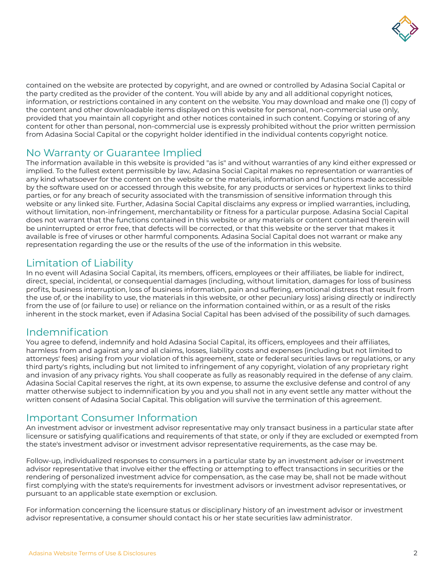

contained on the website are protected by copyright, and are owned or controlled by Adasina Social Capital or the party credited as the provider of the content. You will abide by any and all additional copyright notices, information, or restrictions contained in any content on the website. You may download and make one (1) copy of the content and other downloadable items displayed on this website for personal, non-commercial use only, provided that you maintain all copyright and other notices contained in such content. Copying or storing of any content for other than personal, non-commercial use is expressly prohibited without the prior written permission from Adasina Social Capital or the copyright holder identified in the individual contents copyright notice.

## No Warranty or Guarantee Implied

The information available in this website is provided "as is" and without warranties of any kind either expressed or implied. To the fullest extent permissible by law, Adasina Social Capital makes no representation or warranties of any kind whatsoever for the content on the website or the materials, information and functions made accessible by the software used on or accessed through this website, for any products or services or hypertext links to third parties, or for any breach of security associated with the transmission of sensitive information through this website or any linked site. Further, Adasina Social Capital disclaims any express or implied warranties, including, without limitation, non-infringement, merchantability or fitness for a particular purpose. Adasina Social Capital does not warrant that the functions contained in this website or any materials or content contained therein will be uninterrupted or error free, that defects will be corrected, or that this website or the server that makes it available is free of viruses or other harmful components. Adasina Social Capital does not warrant or make any representation regarding the use or the results of the use of the information in this website.

## Limitation of Liability

In no event will Adasina Social Capital, its members, officers, employees or their affiliates, be liable for indirect, direct, special, incidental, or consequential damages (including, without limitation, damages for loss of business profits, business interruption, loss of business information, pain and suffering, emotional distress that result from the use of, or the inability to use, the materials in this website, or other pecuniary loss) arising directly or indirectly from the use of (or failure to use) or reliance on the information contained within, or as a result of the risks inherent in the stock market, even if Adasina Social Capital has been advised of the possibility of such damages.

## Indemnification

You agree to defend, indemnify and hold Adasina Social Capital, its officers, employees and their affiliates, harmless from and against any and all claims, losses, liability costs and expenses (including but not limited to attorneys' fees) arising from your violation of this agreement, state or federal securities laws or regulations, or any third party's rights, including but not limited to infringement of any copyright, violation of any proprietary right and invasion of any privacy rights. You shall cooperate as fully as reasonably required in the defense of any claim. Adasina Social Capital reserves the right, at its own expense, to assume the exclusive defense and control of any matter otherwise subject to indemnification by you and you shall not in any event settle any matter without the written consent of Adasina Social Capital. This obligation will survive the termination of this agreement.

#### Important Consumer Information

An investment advisor or investment advisor representative may only transact business in a particular state after licensure or satisfying qualifications and requirements of that state, or only if they are excluded or exempted from the state's investment advisor or investment advisor representative requirements, as the case may be.

Follow-up, individualized responses to consumers in a particular state by an investment adviser or investment advisor representative that involve either the effecting or attempting to effect transactions in securities or the rendering of personalized investment advice for compensation, as the case may be, shall not be made without first complying with the state's requirements for investment advisors or investment advisor representatives, or pursuant to an applicable state exemption or exclusion.

For information concerning the licensure status or disciplinary history of an investment advisor or investment advisor representative, a consumer should contact his or her state securities law administrator.